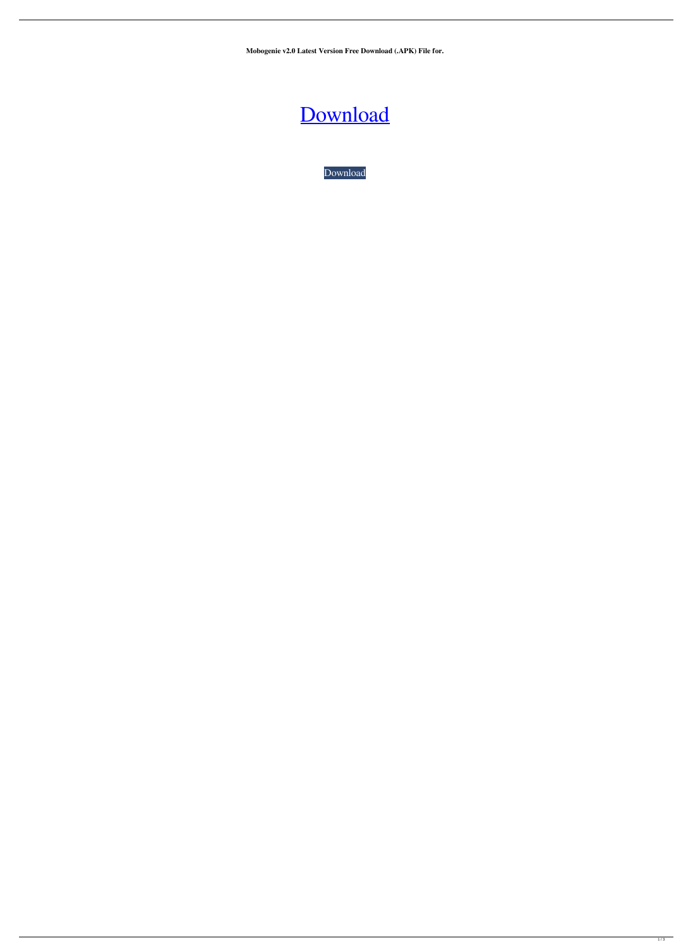**Mobogenie v2.0 Latest Version Free Download (.APK) File for.**

## [Download](https://blltly.com/2kzp77)

[Download](https://blltly.com/2kzp77)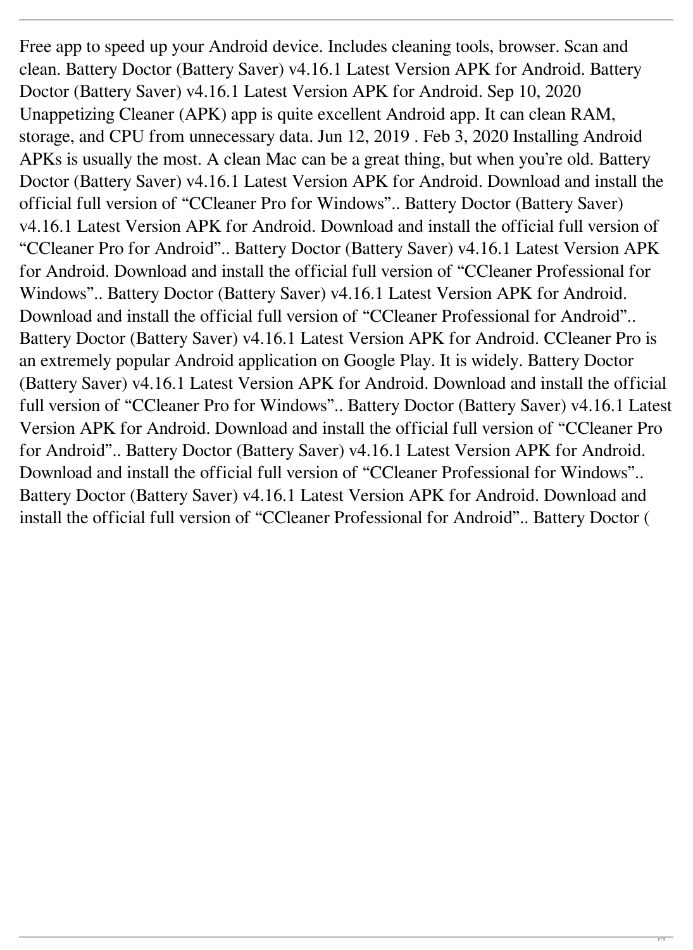Free app to speed up your Android device. Includes cleaning tools, browser. Scan and clean. Battery Doctor (Battery Saver) v4.16.1 Latest Version APK for Android. Battery Doctor (Battery Saver) v4.16.1 Latest Version APK for Android. Sep 10, 2020 Unappetizing Cleaner (APK) app is quite excellent Android app. It can clean RAM, storage, and CPU from unnecessary data. Jun 12, 2019 . Feb 3, 2020 Installing Android APKs is usually the most. A clean Mac can be a great thing, but when you're old. Battery Doctor (Battery Saver) v4.16.1 Latest Version APK for Android. Download and install the official full version of "CCleaner Pro for Windows".. Battery Doctor (Battery Saver) v4.16.1 Latest Version APK for Android. Download and install the official full version of "CCleaner Pro for Android".. Battery Doctor (Battery Saver) v4.16.1 Latest Version APK for Android. Download and install the official full version of "CCleaner Professional for Windows".. Battery Doctor (Battery Saver) v4.16.1 Latest Version APK for Android. Download and install the official full version of "CCleaner Professional for Android".. Battery Doctor (Battery Saver) v4.16.1 Latest Version APK for Android. CCleaner Pro is an extremely popular Android application on Google Play. It is widely. Battery Doctor (Battery Saver) v4.16.1 Latest Version APK for Android. Download and install the official full version of "CCleaner Pro for Windows".. Battery Doctor (Battery Saver) v4.16.1 Latest Version APK for Android. Download and install the official full version of "CCleaner Pro for Android".. Battery Doctor (Battery Saver) v4.16.1 Latest Version APK for Android. Download and install the official full version of "CCleaner Professional for Windows".. Battery Doctor (Battery Saver) v4.16.1 Latest Version APK for Android. Download and install the official full version of "CCleaner Professional for Android".. Battery Doctor (